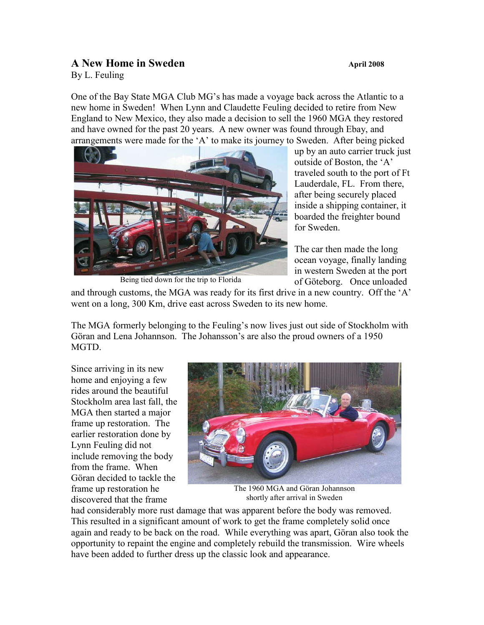## **A New Home in Sweden April 2008**

By L. Feuling

One of the Bay State MGA Club MG's has made a voyage back across the Atlantic to a new home in Sweden! When Lynn and Claudette Feuling decided to retire from New England to New Mexico, they also made a decision to sell the 1960 MGA they restored and have owned for the past 20 years. A new owner was found through Ebay, and arrangements were made for the 'A' to make its journey to Sweden. After being picked



Being tied down for the trip to Florida

up by an auto carrier truck just outside of Boston, the 'A' traveled south to the port of Ft Lauderdale, FL. From there, after being securely placed inside a shipping container, it boarded the freighter bound for Sweden.

The car then made the long ocean voyage, finally landing in western Sweden at the port of Göteborg. Once unloaded

and through customs, the MGA was ready for its first drive in a new country. Off the  $A$ ' went on a long, 300 Km, drive east across Sweden to its new home.

The MGA formerly belonging to the Feuling's now lives just out side of Stockholm with Göran and Lena Johannson. The Johansson's are also the proud owners of a 1950 MGTD.

Since arriving in its new home and enjoying a few rides around the beautiful Stockholm area last fall, the MGA then started a major frame up restoration. The earlier restoration done by Lynn Feuling did not include removing the body from the frame. When Göran decided to tackle the frame up restoration he discovered that the frame



The 1960 MGA and Göran Johannson shortly after arrival in Sweden

had considerably more rust damage that was apparent before the body was removed. This resulted in a significant amount of work to get the frame completely solid once again and ready to be back on the road. While everything was apart, Göran also took the opportunity to repaint the engine and completely rebuild the transmission. Wire wheels have been added to further dress up the classic look and appearance.